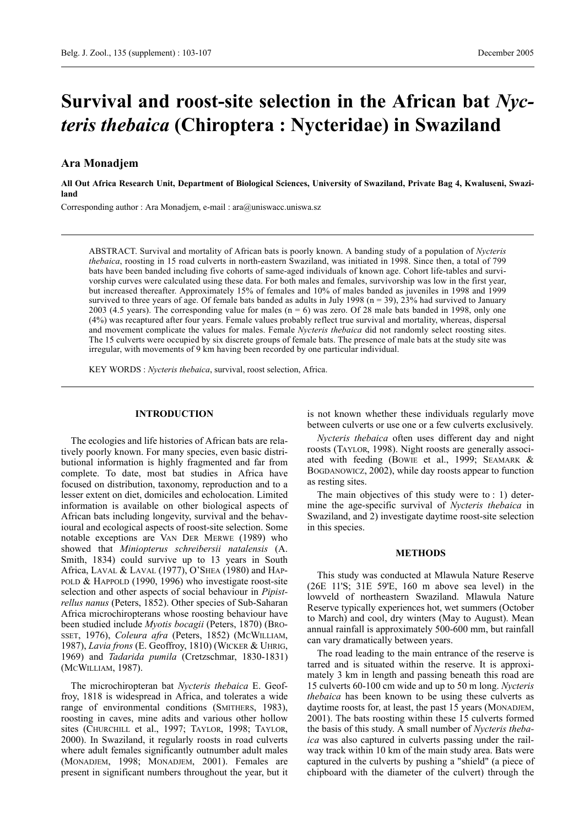# **Survival and roost-site selection in the African bat** *Nycteris thebaica* **(Chiroptera : Nycteridae) in Swaziland**

# **Ara Monadjem**

**All Out Africa Research Unit, Department of Biological Sciences, University of Swaziland, Private Bag 4, Kwaluseni, Swaziland**

Corresponding author : Ara Monadjem, e-mail : ara@uniswacc.uniswa.sz

ABSTRACT. Survival and mortality of African bats is poorly known. A banding study of a population of *Nycteris thebaica*, roosting in 15 road culverts in north-eastern Swaziland, was initiated in 1998. Since then, a total of 799 bats have been banded including five cohorts of same-aged individuals of known age. Cohort life-tables and survivorship curves were calculated using these data. For both males and females, survivorship was low in the first year, but increased thereafter. Approximately 15% of females and 10% of males banded as juveniles in 1998 and 1999 survived to three years of age. Of female bats banded as adults in July 1998 ( $n = 39$ ), 23% had survived to January 2003 (4.5 years). The corresponding value for males ( $n = 6$ ) was zero. Of 28 male bats banded in 1998, only one (4%) was recaptured after four years. Female values probably reflect true survival and mortality, whereas, dispersal and movement complicate the values for males. Female *Nycteris thebaica* did not randomly select roosting sites. The 15 culverts were occupied by six discrete groups of female bats. The presence of male bats at the study site was irregular, with movements of 9 km having been recorded by one particular individual.

KEY WORDS : *Nycteris thebaica*, survival, roost selection, Africa.

# **INTRODUCTION**

The ecologies and life histories of African bats are relatively poorly known. For many species, even basic distributional information is highly fragmented and far from complete. To date, most bat studies in Africa have focused on distribution, taxonomy, reproduction and to a lesser extent on diet, domiciles and echolocation. Limited information is available on other biological aspects of African bats including longevity, survival and the behavioural and ecological aspects of roost-site selection. Some notable exceptions are VAN DER MERWE (1989) who showed that *Miniopterus schreibersii natalensis* (A. Smith, 1834) could survive up to 13 years in South Africa, LAVAL & LAVAL (1977), O'SHEA (1980) and HAP-POLD & HAPPOLD (1990, 1996) who investigate roost-site selection and other aspects of social behaviour in *Pipistrellus nanus* (Peters, 1852). Other species of Sub-Saharan Africa microchiropterans whose roosting behaviour have been studied include *Myotis bocagii* (Peters, 1870) (BRO-SSET, 1976), *Coleura afra* (Peters, 1852) (MCWILLIAM, 1987), *Lavia frons* (E. Geoffroy, 1810) (WICKER & UHRIG, 1969) and *Tadarida pumila* (Cretzschmar, 1830-1831) (MCWILLIAM, 1987).

The microchiropteran bat *Nycteris thebaica* E. Geoffroy, 1818 is widespread in Africa, and tolerates a wide range of environmental conditions (SMITHERS, 1983), roosting in caves, mine adits and various other hollow sites (CHURCHILL et al., 1997; TAYLOR, 1998; TAYLOR, 2000). In Swaziland, it regularly roosts in road culverts where adult females significantly outnumber adult males (MONADJEM, 1998; MONADJEM, 2001). Females are present in significant numbers throughout the year, but it

is not known whether these individuals regularly move between culverts or use one or a few culverts exclusively.

*Nycteris thebaica* often uses different day and night roosts (TAYLOR, 1998). Night roosts are generally associated with feeding (BOWIE et al., 1999; SEAMARK & BOGDANOWICZ, 2002), while day roosts appear to function as resting sites.

The main objectives of this study were to : 1) determine the age-specific survival of *Nycteris thebaica* in Swaziland, and 2) investigate daytime roost-site selection in this species.

# **METHODS**

This study was conducted at Mlawula Nature Reserve (26E 11'S; 31E 59'E, 160 m above sea level) in the lowveld of northeastern Swaziland. Mlawula Nature Reserve typically experiences hot, wet summers (October to March) and cool, dry winters (May to August). Mean annual rainfall is approximately 500-600 mm, but rainfall can vary dramatically between years.

The road leading to the main entrance of the reserve is tarred and is situated within the reserve. It is approximately 3 km in length and passing beneath this road are 15 culverts 60-100 cm wide and up to 50 m long. *Nycteris thebaica* has been known to be using these culverts as daytime roosts for, at least, the past 15 years (MONADJEM, 2001). The bats roosting within these 15 culverts formed the basis of this study. A small number of *Nycteris thebaica* was also captured in culverts passing under the railway track within 10 km of the main study area. Bats were captured in the culverts by pushing a "shield" (a piece of chipboard with the diameter of the culvert) through the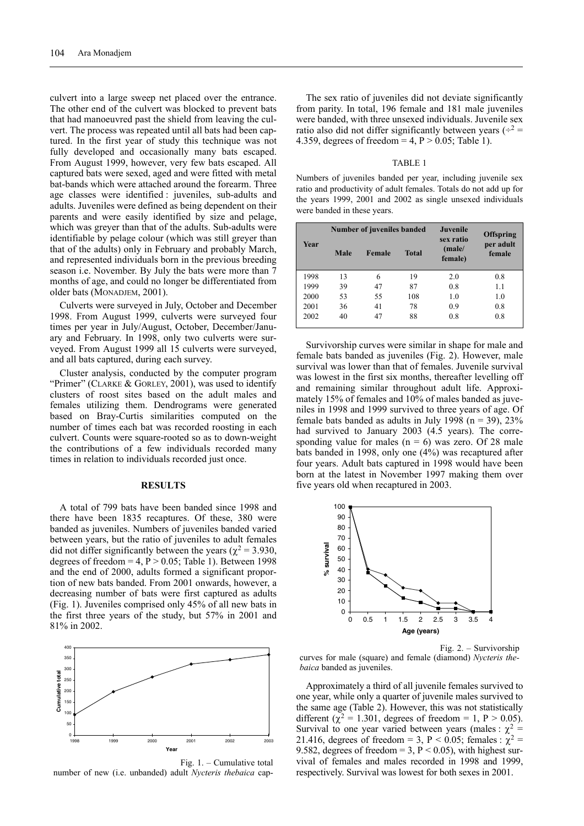culvert into a large sweep net placed over the entrance. The other end of the culvert was blocked to prevent bats that had manoeuvred past the shield from leaving the culvert. The process was repeated until all bats had been captured. In the first year of study this technique was not fully developed and occasionally many bats escaped. From August 1999, however, very few bats escaped. All captured bats were sexed, aged and were fitted with metal bat-bands which were attached around the forearm. Three age classes were identified : juveniles, sub-adults and adults. Juveniles were defined as being dependent on their parents and were easily identified by size and pelage, which was greyer than that of the adults. Sub-adults were identifiable by pelage colour (which was still greyer than that of the adults) only in February and probably March, and represented individuals born in the previous breeding season i.e. November. By July the bats were more than 7 months of age, and could no longer be differentiated from older bats (MONADJEM, 2001).

Culverts were surveyed in July, October and December 1998. From August 1999, culverts were surveyed four times per year in July/August, October, December/January and February. In 1998, only two culverts were surveyed. From August 1999 all 15 culverts were surveyed, and all bats captured, during each survey.

Cluster analysis, conducted by the computer program "Primer" (CLARKE & GORLEY, 2001), was used to identify clusters of roost sites based on the adult males and females utilizing them. Dendrograms were generated based on Bray-Curtis similarities computed on the number of times each bat was recorded roosting in each culvert. Counts were square-rooted so as to down-weight the contributions of a few individuals recorded many times in relation to individuals recorded just once.

#### **RESULTS**

A total of 799 bats have been banded since 1998 and there have been 1835 recaptures. Of these, 380 were banded as juveniles. Numbers of juveniles banded varied between years, but the ratio of juveniles to adult females did not differ significantly between the years ( $\chi^2$  = 3.930, degrees of freedom =  $4$ ,  $P > 0.05$ ; Table 1). Between 1998 and the end of 2000, adults formed a significant proportion of new bats banded. From 2001 onwards, however, a decreasing number of bats were first captured as adults (Fig. 1). Juveniles comprised only 45% of all new bats in the first three years of the study, but 57% in 2001 and 81% in 2002.



Fig. 1. – Cumulative total number of new (i.e. unbanded) adult *Nycteris thebaica* cap-

The sex ratio of juveniles did not deviate significantly from parity. In total, 196 female and 181 male juveniles were banded, with three unsexed individuals. Juvenile sex ratio also did not differ significantly between years ( $\div^2$  = 4.359, degrees of freedom =  $4$ ,  $P > 0.05$ ; Table 1).

#### TABLE 1

Numbers of juveniles banded per year, including juvenile sex ratio and productivity of adult females. Totals do not add up for the years 1999, 2001 and 2002 as single unsexed individuals were banded in these years.

| Year |      | Number of juveniles banded | Juvenile     | <b>Offspring</b>               |                     |  |
|------|------|----------------------------|--------------|--------------------------------|---------------------|--|
|      | Male | Female                     | <b>Total</b> | sex ratio<br>(male/<br>female) | per adult<br>female |  |
| 1998 | 13   | 6                          | 19           | 2.0                            | 0.8                 |  |
| 1999 | 39   | 47                         | 87           | 0.8                            | 1.1                 |  |
| 2000 | 53   | 55                         | 108          | 1.0                            | 1.0                 |  |
| 2001 | 36   | 41                         | 78           | 0.9                            | 0.8                 |  |
| 2002 | 40   | 47                         | 88           | 0.8                            | 0.8                 |  |

Survivorship curves were similar in shape for male and female bats banded as juveniles (Fig. 2). However, male survival was lower than that of females. Juvenile survival was lowest in the first six months, thereafter levelling off and remaining similar throughout adult life. Approximately 15% of females and 10% of males banded as juveniles in 1998 and 1999 survived to three years of age. Of female bats banded as adults in July 1998 ( $n = 39$ ), 23% had survived to January 2003 (4.5 years). The corresponding value for males  $(n = 6)$  was zero. Of 28 male bats banded in 1998, only one (4%) was recaptured after four years. Adult bats captured in 1998 would have been born at the latest in November 1997 making them over five years old when recaptured in 2003.



Fig. 2. – Survivorship curves for male (square) and female (diamond) *Nycteris thebaica* banded as juveniles.

Approximately a third of all juvenile females survived to one year, while only a quarter of juvenile males survived to the same age (Table 2). However, this was not statistically different ( $\chi^2$  = 1.301, degrees of freedom = 1, P > 0.05). Survival to one year varied between years (males :  $\chi^2$  = 21.416, degrees of freedom = 3, P < 0.05; females :  $\chi^2$  = 9.582, degrees of freedom = 3,  $P < 0.05$ ), with highest survival of females and males recorded in 1998 and 1999, respectively. Survival was lowest for both sexes in 2001.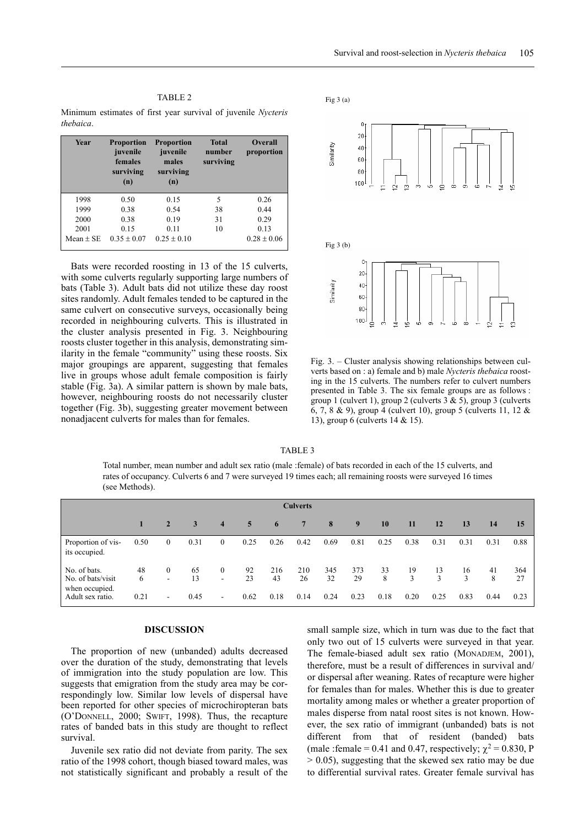| ABL. |  |
|------|--|
|------|--|

Minimum estimates of first year survival of juvenile *Nycteris thebaica*.

| Year        | <b>Proportion</b><br>juvenile<br>females<br>surviving<br>(n) | <b>Proportion</b><br>juvenile<br>males<br>surviving<br>(n) | <b>Total</b><br>number<br>surviving | <b>Overall</b><br>proportion |  |  |
|-------------|--------------------------------------------------------------|------------------------------------------------------------|-------------------------------------|------------------------------|--|--|
| 1998        | 0.50                                                         | 0.15                                                       | 5                                   | 0.26                         |  |  |
| 1999        | 0.38                                                         | 0.54                                                       | 38                                  | 0.44                         |  |  |
| 2000        | 0.38                                                         | 0.19                                                       | 31                                  | 0.29                         |  |  |
| 2001        | 0.15                                                         | 0.11                                                       | 10                                  | 0.13                         |  |  |
| $Mean + SE$ | $0.35 + 0.07$                                                | $0.25 \pm 0.10$                                            |                                     | $0.28 \pm 0.06$              |  |  |

Bats were recorded roosting in 13 of the 15 culverts, with some culverts regularly supporting large numbers of bats (Table 3). Adult bats did not utilize these day roost sites randomly. Adult females tended to be captured in the same culvert on consecutive surveys, occasionally being recorded in neighbouring culverts. This is illustrated in the cluster analysis presented in Fig. 3. Neighbouring roosts cluster together in this analysis, demonstrating similarity in the female "community" using these roosts. Six major groupings are apparent, suggesting that females live in groups whose adult female composition is fairly stable (Fig. 3a). A similar pattern is shown by male bats, however, neighbouring roosts do not necessarily cluster together (Fig. 3b), suggesting greater movement between nonadjacent culverts for males than for females.



Fig. 3. – Cluster analysis showing relationships between culverts based on : a) female and b) male *Nycteris thebaica* roosting in the 15 culverts. The numbers refer to culvert numbers presented in Table 3. The six female groups are as follows : group 1 (culvert 1), group 2 (culverts 3 & 5), group 3 (culverts 6, 7, 8 & 9), group 4 (culvert 10), group 5 (culverts 11, 12 & 13), group 6 (culverts 14 & 15).

TABLE 3

Total number, mean number and adult sex ratio (male :female) of bats recorded in each of the 15 culverts, and rates of occupancy. Culverts 6 and 7 were surveyed 19 times each; all remaining roosts were surveyed 16 times (see Methods).

| <b>Culverts</b>                                     |         |                          |          |                                  |                |           |           |                |           |         |         |                     |         |         |           |
|-----------------------------------------------------|---------|--------------------------|----------|----------------------------------|----------------|-----------|-----------|----------------|-----------|---------|---------|---------------------|---------|---------|-----------|
|                                                     | 47      | $\overline{2}$           | 3        | $\overline{\mathbf{4}}$          | 5 <sup>5</sup> | 6         | 7         | 8 <sup>2</sup> | 9         | 10      | 11      | 12                  | 13      | 14      | 15        |
| Proportion of vis-<br>its occupied.                 | 0.50    | $\overline{0}$           | 0.31     | $\overline{0}$                   | 0.25           | 0.26      | 0.42      | 0.69           | 0.81      | 0.25    | 0.38    | 0.31                | 0.31    | 0.31    | 0.88      |
| No. of bats.<br>No. of bats/visit<br>when occupied. | 48<br>6 | $\overline{0}$<br>۰      | 65<br>13 | $\overline{0}$<br>$\overline{a}$ | 92<br>23       | 216<br>43 | 210<br>26 | 345<br>32      | 373<br>29 | 33<br>8 | 19<br>3 | 13<br>$\mathcal{L}$ | 16<br>3 | 41<br>8 | 364<br>27 |
| Adult sex ratio.                                    | 0.21    | $\overline{\phantom{a}}$ | 0.45     | $\overline{\phantom{a}}$         | 0.62           | 0.18      | 0.14      | 0.24           | 0.23      | 0.18    | 0.20    | 0.25                | 0.83    | 0.44    | 0.23      |

### **DISCUSSION**

The proportion of new (unbanded) adults decreased over the duration of the study, demonstrating that levels of immigration into the study population are low. This suggests that emigration from the study area may be correspondingly low. Similar low levels of dispersal have been reported for other species of microchiropteran bats (O'DONNELL, 2000; SWIFT, 1998). Thus, the recapture rates of banded bats in this study are thought to reflect survival.

Juvenile sex ratio did not deviate from parity. The sex ratio of the 1998 cohort, though biased toward males, was not statistically significant and probably a result of the small sample size, which in turn was due to the fact that only two out of 15 culverts were surveyed in that year. The female-biased adult sex ratio (MONADJEM, 2001), therefore, must be a result of differences in survival and/ or dispersal after weaning. Rates of recapture were higher for females than for males. Whether this is due to greater mortality among males or whether a greater proportion of males disperse from natal roost sites is not known. However, the sex ratio of immigrant (unbanded) bats is not different from that of resident (banded) bats (male :female = 0.41 and 0.47, respectively;  $\chi^2$  = 0.830, P > 0.05), suggesting that the skewed sex ratio may be due to differential survival rates. Greater female survival has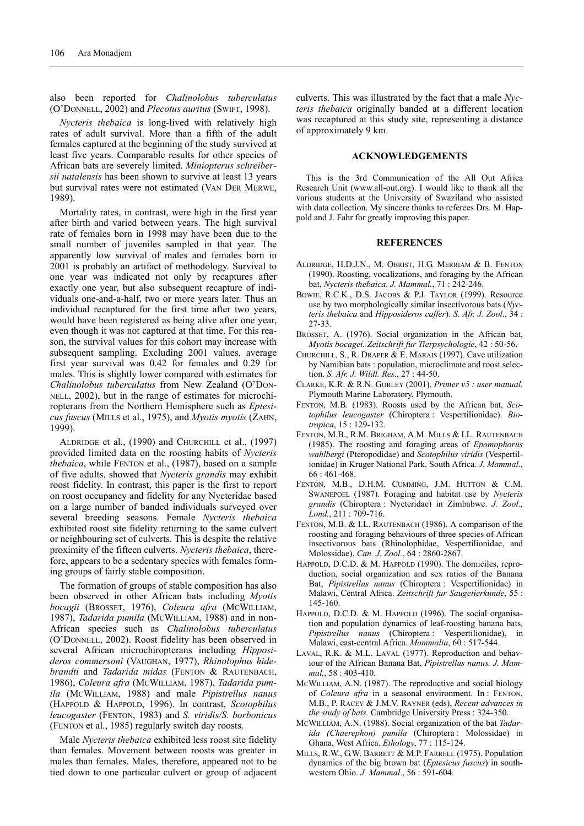also been reported for *Chalinolobus tuberculatus* (O'DONNELL, 2002) and *Plecotus auritus* (SWIFT, 1998).

*Nycteris thebaica* is long-lived with relatively high rates of adult survival. More than a fifth of the adult females captured at the beginning of the study survived at least five years. Comparable results for other species of African bats are severely limited. *Miniopterus schreibersii natalensis* has been shown to survive at least 13 years but survival rates were not estimated (VAN DER MERWE, 1989).

Mortality rates, in contrast, were high in the first year after birth and varied between years. The high survival rate of females born in 1998 may have been due to the small number of juveniles sampled in that year. The apparently low survival of males and females born in 2001 is probably an artifact of methodology. Survival to one year was indicated not only by recaptures after exactly one year, but also subsequent recapture of individuals one-and-a-half, two or more years later. Thus an individual recaptured for the first time after two years, would have been registered as being alive after one year, even though it was not captured at that time. For this reason, the survival values for this cohort may increase with subsequent sampling. Excluding 2001 values, average first year survival was 0.42 for females and 0.29 for males. This is slightly lower compared with estimates for *Chalinolobus tuberculatus* from New Zealand (O'DON-NELL, 2002), but in the range of estimates for microchiropterans from the Northern Hemisphere such as *Eptesicus fuscus* (MILLS et al., 1975), and *Myotis myotis* (ZAHN, 1999).

ALDRIDGE et al*.*, (1990) and CHURCHILL et al., (1997) provided limited data on the roosting habits of *Nycteris thebaica*, while FENTON et al., (1987), based on a sample of five adults, showed that *Nycteris grandis* may exhibit roost fidelity. In contrast, this paper is the first to report on roost occupancy and fidelity for any Nycteridae based on a large number of banded individuals surveyed over several breeding seasons. Female *Nycteris thebaica* exhibited roost site fidelity returning to the same culvert or neighbouring set of culverts. This is despite the relative proximity of the fifteen culverts. *Nycteris thebaica*, therefore, appears to be a sedentary species with females forming groups of fairly stable composition.

The formation of groups of stable composition has also been observed in other African bats including *Myotis bocagii* (BROSSET, 1976), *Coleura afra* (MCWILLIAM, 1987), *Tadarida pumila* (MCWILLIAM, 1988) and in non-African species such as *Chalinolobus tuberculatus* (O'DONNELL, 2002). Roost fidelity has been observed in several African microchiropterans including *Hipposideros commersoni* (VAUGHAN, 1977), *Rhinolophus hidebrandti* and *Tadarida midas* (FENTON & RAUTENBACH, 1986), *Coleura afra* (MCWILLIAM, 1987), *Tadarida pumila* (MCWILLIAM, 1988) and male *Pipistrellus nanus* (HAPPOLD & HAPPOLD, 1996). In contrast, *Scotophilus leucogaster* (FENTON, 1983) and *S. viridis/S. borbonicus* (FENTON et al., 1985) regularly switch day roosts.

Male *Nycteris thebaica* exhibited less roost site fidelity than females. Movement between roosts was greater in males than females. Males, therefore, appeared not to be tied down to one particular culvert or group of adjacent culverts. This was illustrated by the fact that a male *Nycteris thebaica* originally banded at a different location was recaptured at this study site, representing a distance of approximately 9 km.

# **ACKNOWLEDGEMENTS**

This is the 3rd Communication of the All Out Africa Research Unit (www.all-out.org). I would like to thank all the various students at the University of Swaziland who assisted with data collection. My sincere thanks to referees Drs. M. Happold and J. Fahr for greatly improving this paper.

# **REFERENCES**

- ALDRIDGE, H.D.J.N., M. OBRIST, H.G. MERRIAM & B. FENTON (1990). Roosting, vocalizations, and foraging by the African bat, *Nycteris thebaica. J. Mammal.*, 71 : 242-246.
- BOWIE, R.C.K., D.S. JACOBS & P.J. TAYLOR (1999). Resource use by two morphologically similar insectivorous bats (*Nycteris thebaica* and *Hipposideros caffer*). *S. Afr. J. Zool*., 34 : 27-33.
- BROSSET, A. (1976). Social organization in the African bat, *Myotis bocagei. Zeitschrift fur Tierpsychologie*, 42 : 50-56.
- CHURCHILL, S., R. DRAPER & E. MARAIS (1997). Cave utilization by Namibian bats : population, microclimate and roost selection. *S. Afr. J. Wildl. Res*., 27 : 44-50.
- CLARKE, K.R. & R.N. GORLEY (2001). *Primer v5 : user manual.* Plymouth Marine Laboratory, Plymouth.
- FENTON, M.B. (1983). Roosts used by the African bat, *Scotophilus leucogaster* (Chiroptera : Vespertilionidae). *Biotropica*, 15 : 129-132.
- FENTON, M.B., R.M. BRIGHAM, A.M. MILLS & I.L. RAUTENBACH (1985). The roosting and foraging areas of *Epomophorus wahlbergi* (Pteropodidae) and *Scotophilus viridis* (Vespertilionidae) in Kruger National Park, South Africa. *J. Mammal*., 66 : 461-468.
- FENTON, M.B., D.H.M. CUMMING, J.M. HUTTON & C.M. SWANEPOEL (1987). Foraging and habitat use by *Nycteris grandis* (Chiroptera : Nycteridae) in Zimbabwe. *J. Zool., Lond.*, 211 : 709-716.
- FENTON, M.B. & I.L. RAUTENBACH (1986). A comparison of the roosting and foraging behaviours of three species of African insectivorous bats (Rhinolophidae, Vespertilionidae, and Molossidae). *Can. J. Zool.*, 64 : 2860-2867.
- HAPPOLD, D.C.D. & M. HAPPOLD (1990). The domiciles, reproduction, social organization and sex ratios of the Banana Bat, *Pipistrellus nanus* (Chiroptera : Vespertilionidae) in Malawi, Central Africa. *Zeitschrift fur Saugetierkunde*, 55 : 145-160.
- HAPPOLD, D.C.D. & M. HAPPOLD (1996). The social organisation and population dynamics of leaf-roosting banana bats, *Pipistrellus nanus* (Chiroptera : Vespertilionidae), in Malawi, east-central Africa. *Mammalia*, 60 : 517-544.
- LAVAL, R.K. & M.L. LAVAL (1977). Reproduction and behaviour of the African Banana Bat, *Pipistrellus nanus. J. Mammal.*, 58 : 403-410.
- MCWILLIAM, A.N. (1987). The reproductive and social biology of *Coleura afra* in a seasonal environment. In : FENTON, M.B., P. RACEY & J.M.V. RAYNER (eds), *Recent advances in the study of bats.* Cambridge University Press : 324-350.
- MCWILLIAM, A.N. (1988). Social organization of the bat *Tadarida (Chaerephon) pumila* (Chiroptera : Molossidae) in Ghana, West Africa. *Ethology*, 77 : 115-124.
- MILLS, R.W., G.W. BARRETT & M.P. FARRELL (1975). Population dynamics of the big brown bat (*Eptesicus fuscus*) in southwestern Ohio. *J. Mammal*., 56 : 591-604.